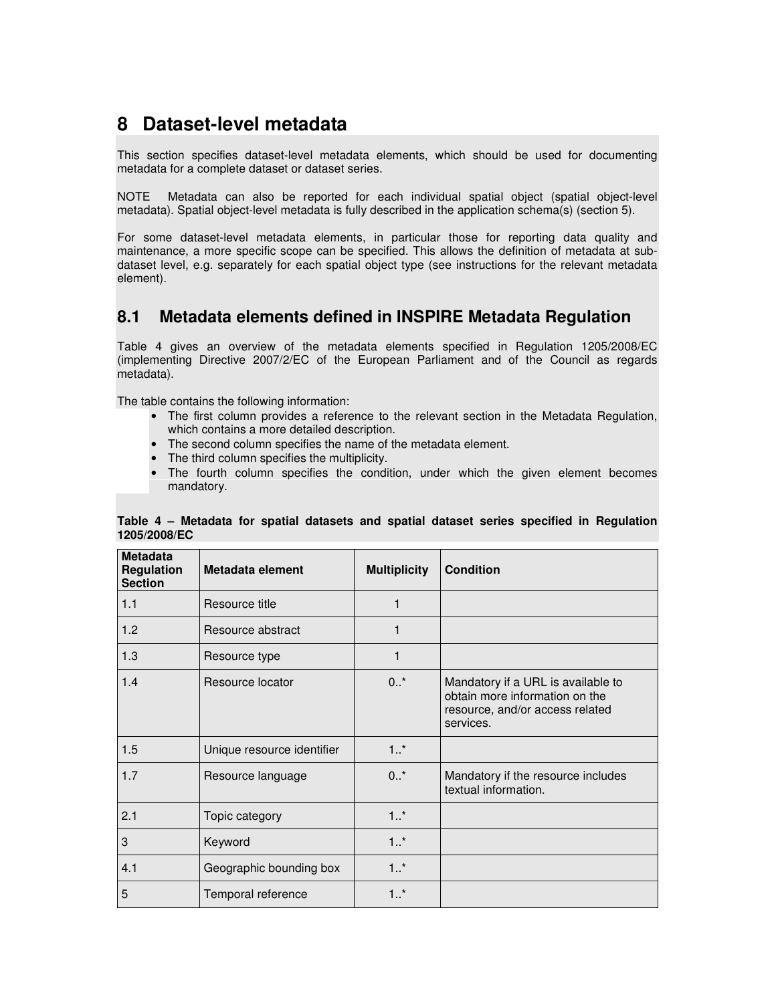# **8 Dataset-level metadata**

This section specifies dataset-level metadata elements, which should be used for documenting metadata for a complete dataset or dataset series.

NOTE Metadata can also be reported for each individual spatial object (spatial object-level metadata). Spatial object-level metadata is fully described in the application schema(s) (section 5).

For some dataset-level metadata elements, in particular those for reporting data quality and maintenance, a more specific scope can be specified. This allows the definition of metadata at subdataset level, e.g. separately for each spatial object type (see instructions for the relevant metadata element).

## **8.1 Metadata elements defined in INSPIRE Metadata Regulation**

Table 4 gives an overview of the metadata elements specified in Regulation 1205/2008/EC (implementing Directive 2007/2/EC of the European Parliament and of the Council as regards metadata).

The table contains the following information:

- The first column provides a reference to the relevant section in the Metadata Regulation, which contains a more detailed description.
- The second column specifies the name of the metadata element.
- The third column specifies the multiplicity.
- The fourth column specifies the condition, under which the given element becomes mandatory.

| <b>Metadata</b><br><b>Regulation</b><br><b>Section</b> | Metadata element           | <b>Multiplicity</b> | <b>Condition</b>                                                                                                     |
|--------------------------------------------------------|----------------------------|---------------------|----------------------------------------------------------------------------------------------------------------------|
| 1.1                                                    | Resource title             | 1                   |                                                                                                                      |
| 1.2                                                    | Resource abstract          | 1                   |                                                                                                                      |
| 1.3                                                    | Resource type              | 1                   |                                                                                                                      |
| 1.4                                                    | Resource locator           | $0.7*$              | Mandatory if a URL is available to<br>obtain more information on the<br>resource, and/or access related<br>services. |
| 1.5                                                    | Unique resource identifier | $1.1$ *             |                                                                                                                      |
| 1.7                                                    | Resource language          | $0^{+}$             | Mandatory if the resource includes<br>textual information.                                                           |
| 2.1                                                    | Topic category             | $1.$ *              |                                                                                                                      |
| 3                                                      | Keyword                    | $1.1$ *             |                                                                                                                      |
| 4.1                                                    | Geographic bounding box    | 1.1                 |                                                                                                                      |
| 5                                                      | Temporal reference         | 1.1                 |                                                                                                                      |

### **Table 4 – Metadata for spatial datasets and spatial dataset series specified in Regulation 1205/2008/EC**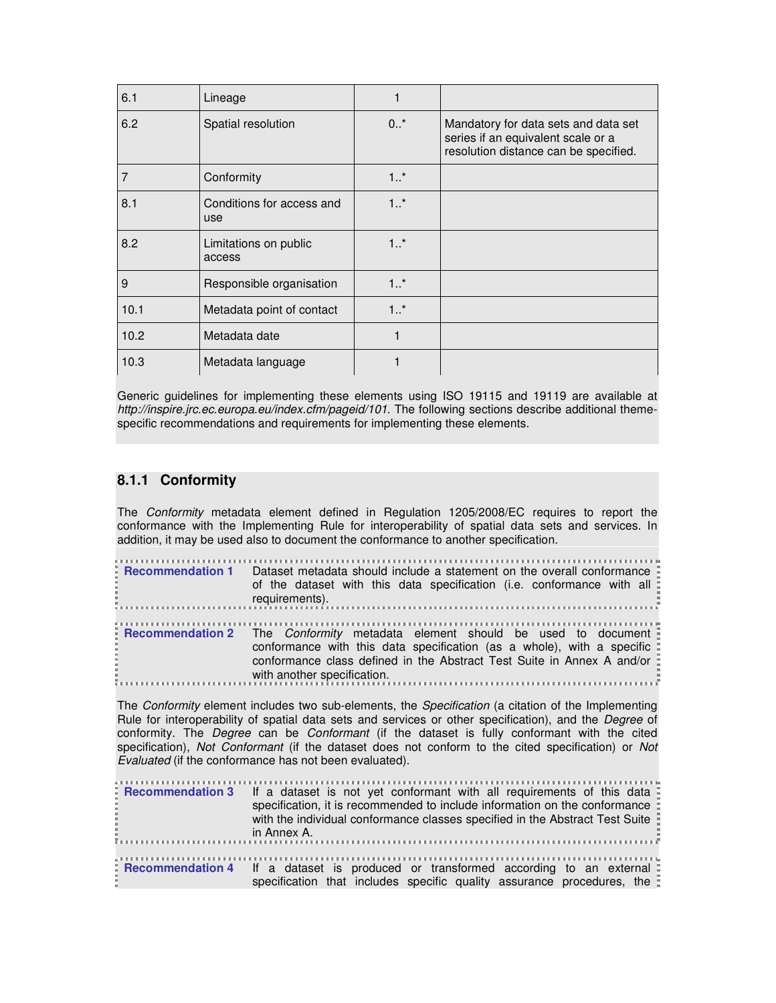| 6.1  | Lineage                                 |         |                                                                                                                     |
|------|-----------------------------------------|---------|---------------------------------------------------------------------------------------------------------------------|
| 6.2  | Spatial resolution                      | 0.7     | Mandatory for data sets and data set<br>series if an equivalent scale or a<br>resolution distance can be specified. |
| 7    | Conformity                              | 1.1     |                                                                                                                     |
| 8.1  | Conditions for access and<br><b>use</b> | 1.1     |                                                                                                                     |
| 8.2  | Limitations on public<br>access         | $1.1$ * |                                                                                                                     |
| 9    | Responsible organisation                | $1.$ *  |                                                                                                                     |
| 10.1 | Metadata point of contact               | 1.1     |                                                                                                                     |
| 10.2 | Metadata date                           | 1       |                                                                                                                     |
| 10.3 | Metadata language                       |         |                                                                                                                     |

Generic guidelines for implementing these elements using ISO 19115 and 19119 are available at http://inspire.jrc.ec.europa.eu/index.cfm/pageid/101. The following sections describe additional themespecific recommendations and requirements for implementing these elements.

### **8.1.1 Conformity**

The Conformity metadata element defined in Regulation 1205/2008/EC requires to report the conformance with the Implementing Rule for interoperability of spatial data sets and services. In addition, it may be used also to document the conformance to another specification.

| <b>Example 1 Figure 1</b> Dataset metadata should include a statement on the overall conformance<br>of the dataset with this data specification (i.e. conformance with all:<br>requirements).                                                                      |
|--------------------------------------------------------------------------------------------------------------------------------------------------------------------------------------------------------------------------------------------------------------------|
| Recommendation 2 The Conformity metadata element should be used to document<br>conformance with this data specification (as a whole), with a specific :<br>conformance class defined in the Abstract Test Suite in Annex A and/or :<br>with another specification. |

The Conformity element includes two sub-elements, the Specification (a citation of the Implementing Rule for interoperability of spatial data sets and services or other specification), and the *Degree* of conformity. The Degree can be Conformant (if the dataset is fully conformant with the cited specification), Not Conformant (if the dataset does not conform to the cited specification) or Not Evaluated (if the conformance has not been evaluated).

| <b>Example Figure 1</b> Figure 1 and a fact as the state is not yet conformant with all requirements of this data E<br>specification, it is recommended to include information on the conformance :<br>with the individual conformance classes specified in the Abstract Test Suite<br>$\vdots$ in Annex A. |
|-------------------------------------------------------------------------------------------------------------------------------------------------------------------------------------------------------------------------------------------------------------------------------------------------------------|
| <b>Example Figure 1</b> Figure 1 and the state is produced or transformed according to an external E<br>specification that includes specific quality assurance procedures, the                                                                                                                              |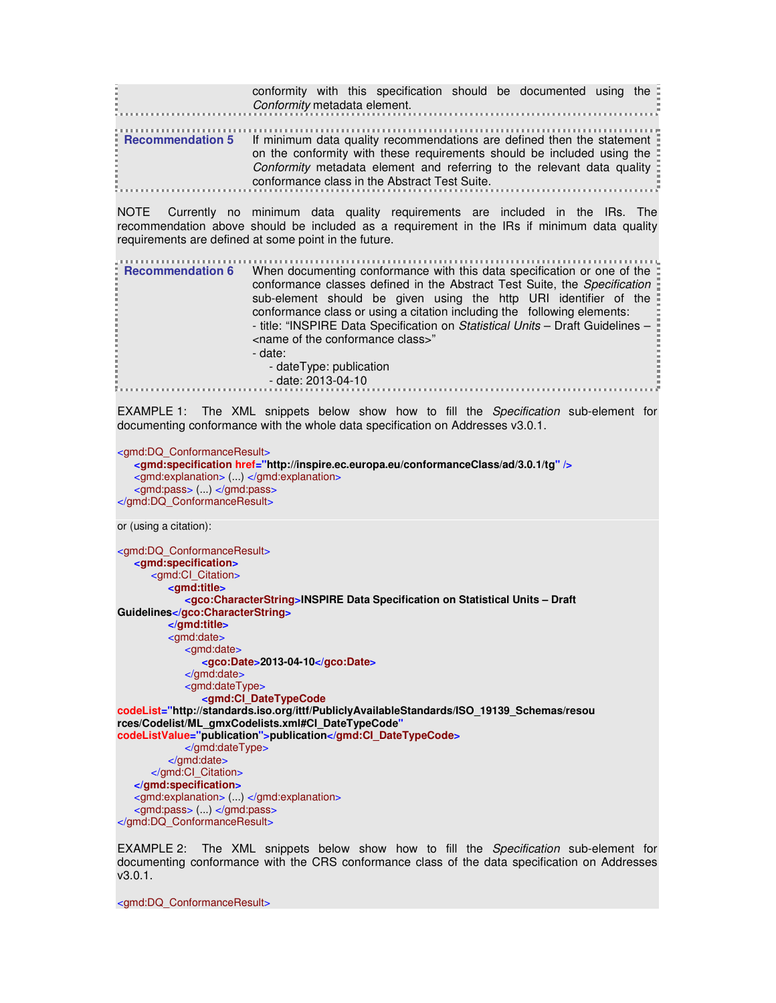| the contract of the contract of the contract of                                                              |                                               |  |  | conformity with this specification should be documented using the<br>Conformity metadata element.                                                |  |
|--------------------------------------------------------------------------------------------------------------|-----------------------------------------------|--|--|--------------------------------------------------------------------------------------------------------------------------------------------------|--|
| <b>Recommendation 5</b> If minimum data quality recommendations are defined then the statement $\frac{1}{2}$ | conformance class in the Abstract Test Suite. |  |  | on the conformity with these requirements should be included using the<br>Conformity metadata element and referring to the relevant data quality |  |

NOTE Currently no minimum data quality requirements are included in the IRs. The recommendation above should be included as a requirement in the IRs if minimum data quality requirements are defined at some point in the future.

| <b>E</b> Recommendation 6 | When documenting conformance with this data specification or one of the :<br>conformance classes defined in the Abstract Test Suite, the Specification =<br>sub-element should be given using the http URI identifier of the |
|---------------------------|------------------------------------------------------------------------------------------------------------------------------------------------------------------------------------------------------------------------------|
|                           | conformance class or using a citation including the following elements:<br>- title: "INSPIRE Data Specification on Statistical Units - Draft Guidelines -<br><name class="" conformance="" of="" the="">"</name>             |
|                           | - date:<br>- dateType: publication                                                                                                                                                                                           |
|                           | $-$ date: 2013-04-10                                                                                                                                                                                                         |

EXAMPLE 1: The XML snippets below show how to fill the Specification sub-element for documenting conformance with the whole data specification on Addresses v3.0.1.

<gmd:DQ\_ConformanceResult>

```
<gmd:specification href="http://inspire.ec.europa.eu/conformanceClass/ad/3.0.1/tg" />
   <gmd:explanation> (...) </gmd:explanation>
   <gmd:pass> (...) </gmd:pass>
</gmd:DQ_ConformanceResult>
```
or (using a citation):

<gmd:DQ\_ConformanceResult> **<gmd:specification>** <gmd:CI\_Citation>  **<gmd:title> <gco:CharacterString>INSPIRE Data Specification on Statistical Units – Draft Guidelines</gco:CharacterString> </gmd:title>** <gmd:date> <gmd:date>  **<gco:Date>2013-04-10</gco:Date>** </gmd:date> <gmd:dateType>  **<gmd:CI\_DateTypeCode codeList="http://standards.iso.org/ittf/PubliclyAvailableStandards/ISO\_19139\_Schemas/resou rces/Codelist/ML\_gmxCodelists.xml#CI\_DateTypeCode" codeListValue="publication">publication</gmd:CI\_DateTypeCode>** </gmd:dateType> </gmd:date> </gmd:CI\_Citation> **</gmd:specification>** <gmd:explanation> (...) </gmd:explanation> <gmd:pass> (...) </gmd:pass> </gmd:DQ\_ConformanceResult>

EXAMPLE 2: The XML snippets below show how to fill the Specification sub-element for documenting conformance with the CRS conformance class of the data specification on Addresses v3.0.1.

<gmd:DQ\_ConformanceResult>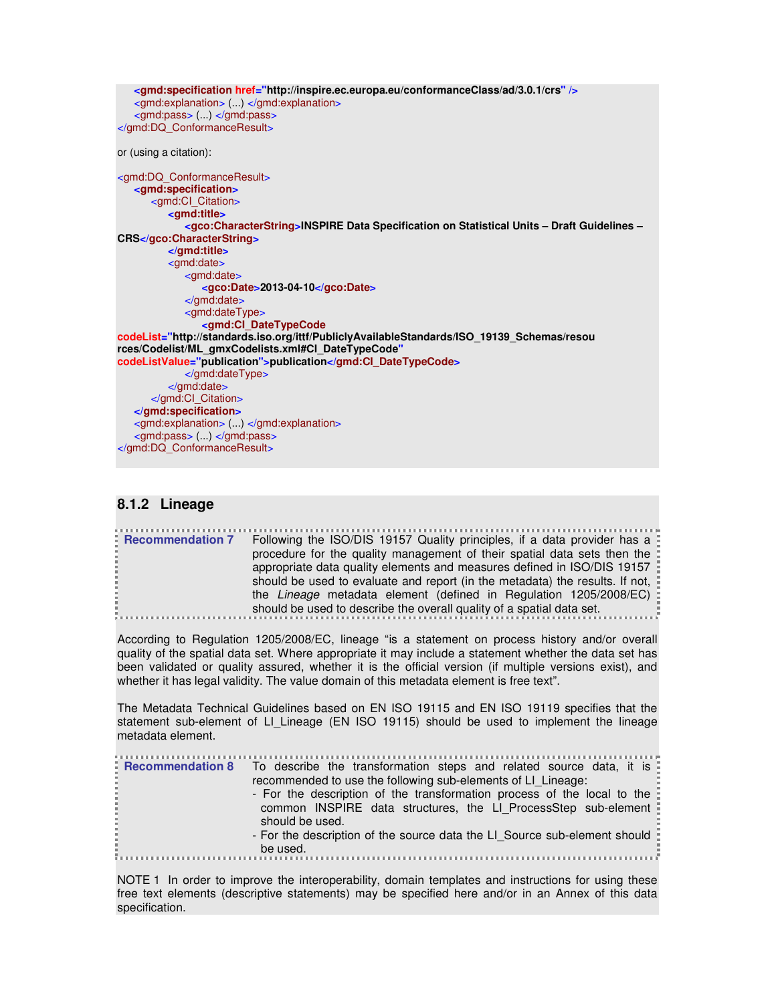```
<gmd:specification href="http://inspire.ec.europa.eu/conformanceClass/ad/3.0.1/crs" />
   <gmd:explanation> (...) </gmd:explanation>
   <gmd:pass> (...) </gmd:pass>
</gmd:DQ_ConformanceResult> 
or (using a citation): 
<gmd:DQ_ConformanceResult>
   <gmd:specification>
       <gmd:CI_Citation>
           <gmd:title>
              <gco:CharacterString>INSPIRE Data Specification on Statistical Units – Draft Guidelines – 
CRS</gco:CharacterString>
          </gmd:title>
          <gmd:date>
             <gmd:date>
                 <gco:Date>2013-04-10</gco:Date>
              </gmd:date>
              <gmd:dateType>
                 <gmd:CI_DateTypeCode
codeList="http://standards.iso.org/ittf/PubliclyAvailableStandards/ISO_19139_Schemas/resou 
rces/Codelist/ML_gmxCodelists.xml#CI_DateTypeCode"
codeListValue="publication">publication</gmd:CI_DateTypeCode>
              </gmd:dateType>
           </gmd:date>
       </gmd:CI_Citation>
   </gmd:specification>
   <gmd:explanation> (...) </gmd:explanation>
   <gmd:pass> (...) </gmd:pass>
</gmd:DQ_ConformanceResult>
```
### **8.1.2 Lineage**

**Recommendation 7** Following the ISO/DIS 19157 Quality principles, if a data provider has a procedure for the quality management of their spatial data sets then the appropriate data quality elements and measures defined in ISO/DIS 19157 should be used to evaluate and report (in the metadata) the results. If not, the Lineage metadata element (defined in Regulation 1205/2008/EC) should be used to describe the overall quality of a spatial data set.

According to Regulation 1205/2008/EC, lineage "is a statement on process history and/or overall quality of the spatial data set. Where appropriate it may include a statement whether the data set has been validated or quality assured, whether it is the official version (if multiple versions exist), and whether it has legal validity. The value domain of this metadata element is free text".

The Metadata Technical Guidelines based on EN ISO 19115 and EN ISO 19119 specifies that the statement sub-element of LI Lineage (EN ISO 19115) should be used to implement the lineage metadata element.

| <b>Recommendation 8</b> To describe the transformation steps and related source data, it is |
|---------------------------------------------------------------------------------------------|
| recommended to use the following sub-elements of LI Lineage:                                |
| - For the description of the transformation process of the local to the                     |
| common INSPIRE data structures, the LI ProcessStep sub-element                              |
| should be used.                                                                             |
| - For the description of the source data the LI Source sub-element should :                 |
| be used.                                                                                    |

NOTE 1 In order to improve the interoperability, domain templates and instructions for using these free text elements (descriptive statements) may be specified here and/or in an Annex of this data specification.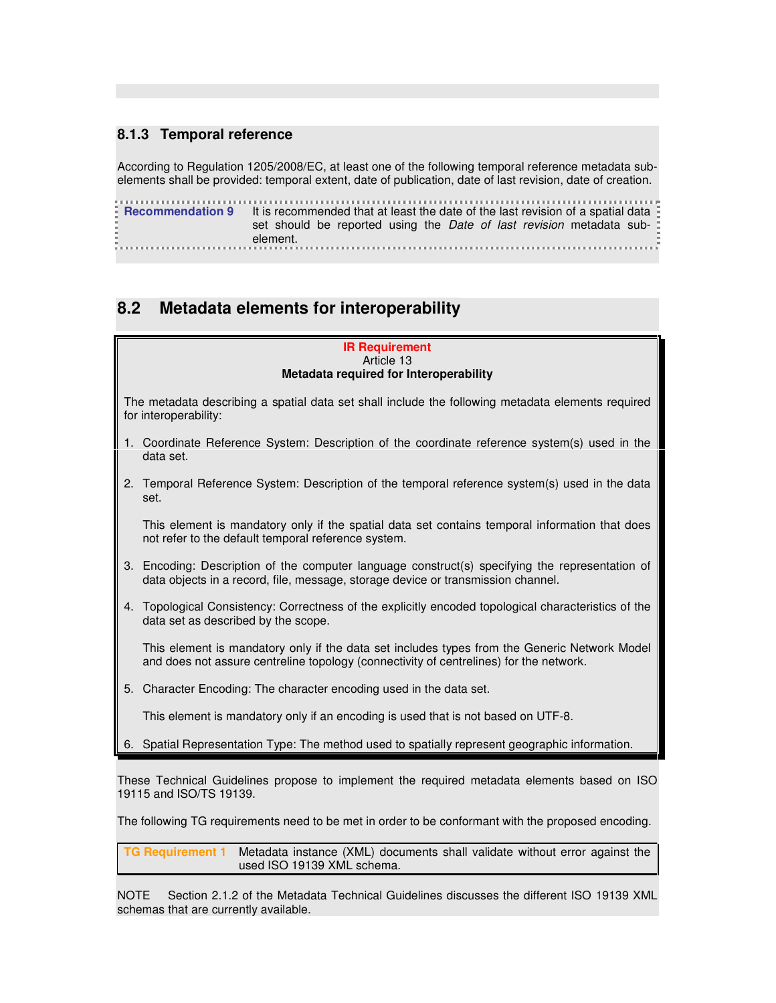### **8.1.3 Temporal reference**

According to Regulation 1205/2008/EC, at least one of the following temporal reference metadata subelements shall be provided: temporal extent, date of publication, date of last revision, date of creation.

**Recommendation 9** It is recommended that at least the date of the last revision of a spatial data set should be reported using the Date of last revision metadata subelement. 

# **8.2 Metadata elements for interoperability**

#### **IR Requirement**  Article 13 **Metadata required for Interoperability**

The metadata describing a spatial data set shall include the following metadata elements required for interoperability:

- 1. Coordinate Reference System: Description of the coordinate reference system(s) used in the data set.
- 2. Temporal Reference System: Description of the temporal reference system(s) used in the data set.

 This element is mandatory only if the spatial data set contains temporal information that does not refer to the default temporal reference system.

- 3. Encoding: Description of the computer language construct(s) specifying the representation of data objects in a record, file, message, storage device or transmission channel.
- 4. Topological Consistency: Correctness of the explicitly encoded topological characteristics of the data set as described by the scope.

 This element is mandatory only if the data set includes types from the Generic Network Model and does not assure centreline topology (connectivity of centrelines) for the network.

5. Character Encoding: The character encoding used in the data set.

This element is mandatory only if an encoding is used that is not based on UTF-8.

6. Spatial Representation Type: The method used to spatially represent geographic information.

These Technical Guidelines propose to implement the required metadata elements based on ISO 19115 and ISO/TS 19139.

The following TG requirements need to be met in order to be conformant with the proposed encoding.

**TG Requirement 1** Metadata instance (XML) documents shall validate without error against the used ISO 19139 XML schema.

NOTE Section 2.1.2 of the Metadata Technical Guidelines discusses the different ISO 19139 XML schemas that are currently available.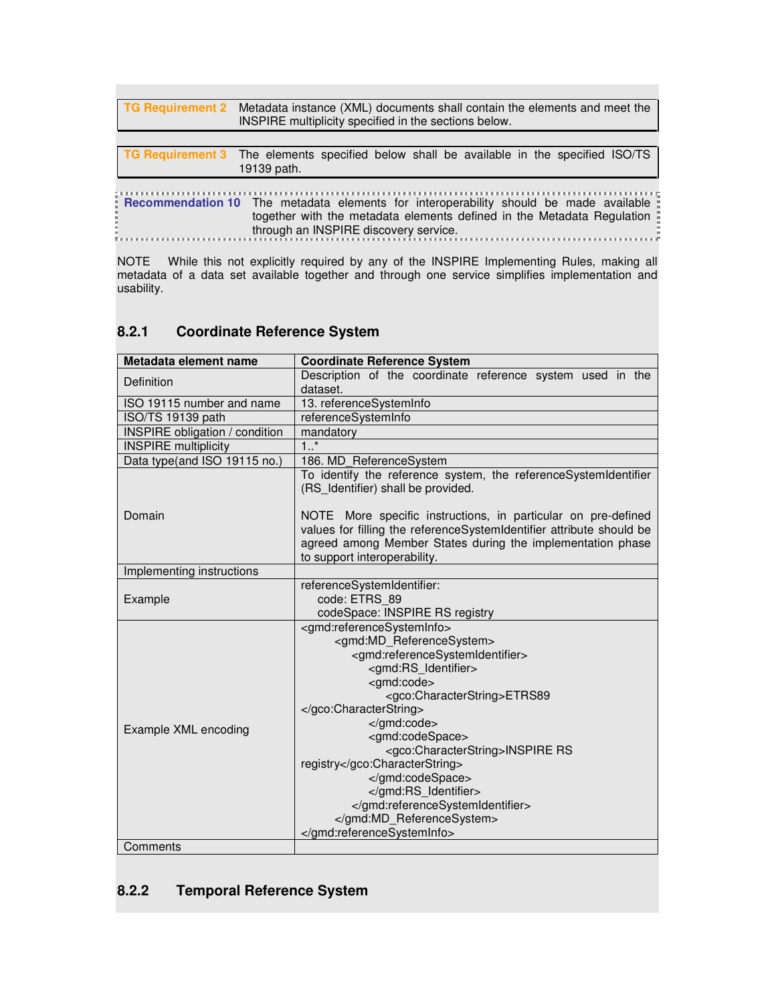| TG Requirement 2 | Metadata instance (XML) documents shall contain the elements and meet the<br>INSPIRE multiplicity specified in the sections below.                                                                              |  |  |
|------------------|-----------------------------------------------------------------------------------------------------------------------------------------------------------------------------------------------------------------|--|--|
|                  |                                                                                                                                                                                                                 |  |  |
|                  | TG Requirement 3 The elements specified below shall be available in the specified ISO/TS<br>19139 path.                                                                                                         |  |  |
|                  |                                                                                                                                                                                                                 |  |  |
|                  | <b>Recommendation 10</b> The metadata elements for interoperability should be made available<br>together with the metadata elements defined in the Metadata Regulation<br>through an INSPIRE discovery service. |  |  |

NOTE While this not explicitly required by any of the INSPIRE Implementing Rules, making all metadata of a data set available together and through one service simplifies implementation and usability.

## **8.2.1 Coordinate Reference System**

| Metadata element name                 | <b>Coordinate Reference System</b>                                                                                                                                                                                                                                                                                                                                                                                                              |
|---------------------------------------|-------------------------------------------------------------------------------------------------------------------------------------------------------------------------------------------------------------------------------------------------------------------------------------------------------------------------------------------------------------------------------------------------------------------------------------------------|
| Definition                            | Description of the coordinate reference system used in the<br>dataset.                                                                                                                                                                                                                                                                                                                                                                          |
| ISO 19115 number and name             | 13. referenceSystemInfo                                                                                                                                                                                                                                                                                                                                                                                                                         |
| ISO/TS 19139 path                     | referenceSystemInfo                                                                                                                                                                                                                                                                                                                                                                                                                             |
| <b>INSPIRE</b> obligation / condition | mandatory                                                                                                                                                                                                                                                                                                                                                                                                                                       |
| <b>INSPIRE</b> multiplicity           | $1.$ *                                                                                                                                                                                                                                                                                                                                                                                                                                          |
| Data type(and ISO 19115 no.)          | 186. MD_ReferenceSystem                                                                                                                                                                                                                                                                                                                                                                                                                         |
|                                       | To identify the reference system, the referenceSystemIdentifier<br>(RS Identifier) shall be provided.                                                                                                                                                                                                                                                                                                                                           |
| Domain                                | NOTE More specific instructions, in particular on pre-defined<br>values for filling the referenceSystemIdentifier attribute should be<br>agreed among Member States during the implementation phase<br>to support interoperability.                                                                                                                                                                                                             |
| Implementing instructions             |                                                                                                                                                                                                                                                                                                                                                                                                                                                 |
| Example                               | referenceSystemIdentifier:<br>code: ETRS_89<br>codeSpace: INSPIRE RS registry                                                                                                                                                                                                                                                                                                                                                                   |
| Example XML encoding                  | <gmd:referencesysteminfo><br/><gmd:md_referencesystem><br/><gmd:referencesystemidentifier><br/><gmd:rs identifier=""><br/><gmd:code><br/><gco:characterstring>ETRS89<br/></gco:characterstring><br/></gmd:code><br/><gmd:codespace><br/><gco:characterstring>INSPIRE RS<br/>registry</gco:characterstring><br/></gmd:codespace><br/></gmd:rs><br/></gmd:referencesystemidentifier><br/><br/></gmd:md_referencesystem></gmd:referencesysteminfo> |
| Comments                              |                                                                                                                                                                                                                                                                                                                                                                                                                                                 |

## **8.2.2 Temporal Reference System**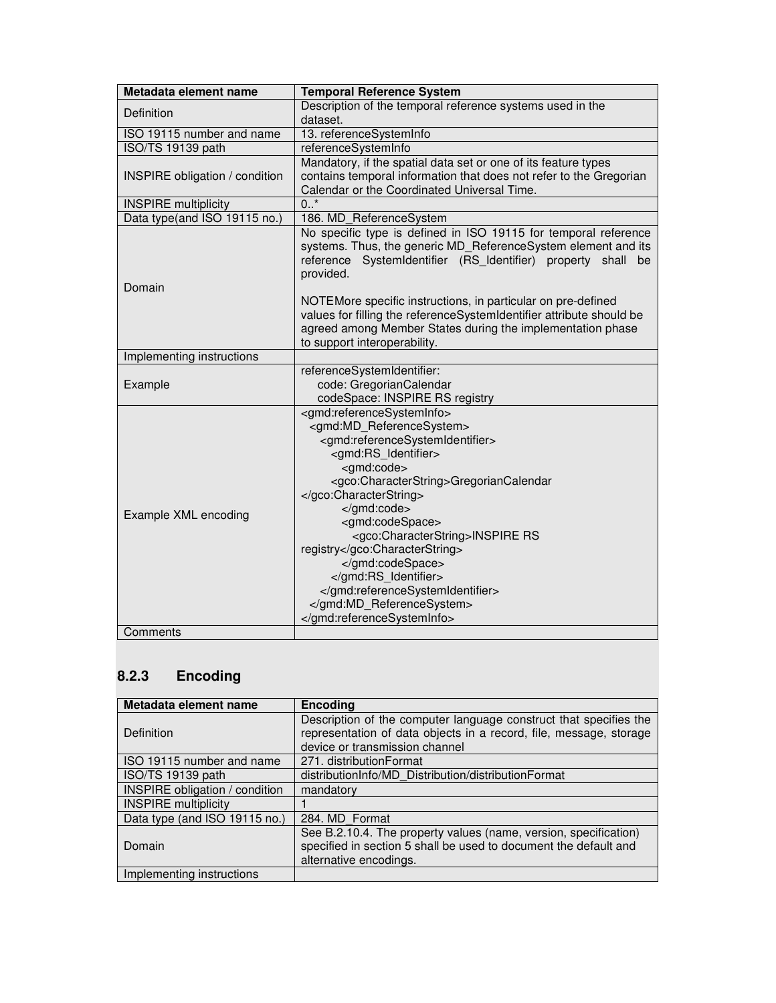| Metadata element name                 | <b>Temporal Reference System</b>                                                                                                                                                                                                                                                                                                                                                                                                              |
|---------------------------------------|-----------------------------------------------------------------------------------------------------------------------------------------------------------------------------------------------------------------------------------------------------------------------------------------------------------------------------------------------------------------------------------------------------------------------------------------------|
| Definition                            | Description of the temporal reference systems used in the<br>dataset.                                                                                                                                                                                                                                                                                                                                                                         |
| ISO 19115 number and name             | 13. referenceSystemInfo                                                                                                                                                                                                                                                                                                                                                                                                                       |
| ISO/TS 19139 path                     | referenceSystemInfo                                                                                                                                                                                                                                                                                                                                                                                                                           |
| <b>INSPIRE</b> obligation / condition | Mandatory, if the spatial data set or one of its feature types<br>contains temporal information that does not refer to the Gregorian<br>Calendar or the Coordinated Universal Time.                                                                                                                                                                                                                                                           |
| <b>INSPIRE</b> multiplicity           | $0.$ *                                                                                                                                                                                                                                                                                                                                                                                                                                        |
| Data type(and ISO 19115 no.)          | 186. MD_ReferenceSystem                                                                                                                                                                                                                                                                                                                                                                                                                       |
| Domain                                | No specific type is defined in ISO 19115 for temporal reference<br>systems. Thus, the generic MD_ReferenceSystem element and its<br>reference SystemIdentifier (RS Identifier) property shall be<br>provided.<br>NOTEMore specific instructions, in particular on pre-defined<br>values for filling the referenceSystemIdentifier attribute should be<br>agreed among Member States during the implementation phase                           |
|                                       | to support interoperability.                                                                                                                                                                                                                                                                                                                                                                                                                  |
| Implementing instructions             |                                                                                                                                                                                                                                                                                                                                                                                                                                               |
| Example                               | referenceSystemIdentifier:<br>code: GregorianCalendar<br>codeSpace: INSPIRE RS registry                                                                                                                                                                                                                                                                                                                                                       |
| Example XML encoding<br>Comments      | <gmd:referencesysteminfo><br/><gmd:md referencesystem=""><br/><gmd:referencesystemidentifier><br/><gmd:rs identifier=""><br/><gmd:code><br/><gco:characterstring>GregorianCalendar<br/></gco:characterstring><br/></gmd:code><br/><gmd:codespace><br/><gco:characterstring>INSPIRE RS<br/>registry</gco:characterstring><br/></gmd:codespace><br/></gmd:rs><br/></gmd:referencesystemidentifier><br/></gmd:md><br/></gmd:referencesysteminfo> |
|                                       |                                                                                                                                                                                                                                                                                                                                                                                                                                               |

# **8.2.3 Encoding**

| Metadata element name                 | <b>Encoding</b>                                                                                                                                                           |
|---------------------------------------|---------------------------------------------------------------------------------------------------------------------------------------------------------------------------|
| <b>Definition</b>                     | Description of the computer language construct that specifies the<br>representation of data objects in a record, file, message, storage<br>device or transmission channel |
| ISO 19115 number and name             | 271. distributionFormat                                                                                                                                                   |
| ISO/TS 19139 path                     | distributionInfo/MD Distribution/distributionFormat                                                                                                                       |
| <b>INSPIRE obligation / condition</b> | mandatory                                                                                                                                                                 |
| <b>INSPIRE</b> multiplicity           |                                                                                                                                                                           |
| Data type (and ISO 19115 no.)         | 284. MD Format                                                                                                                                                            |
| Domain                                | See B.2.10.4. The property values (name, version, specification)<br>specified in section 5 shall be used to document the default and<br>alternative encodings.            |
| Implementing instructions             |                                                                                                                                                                           |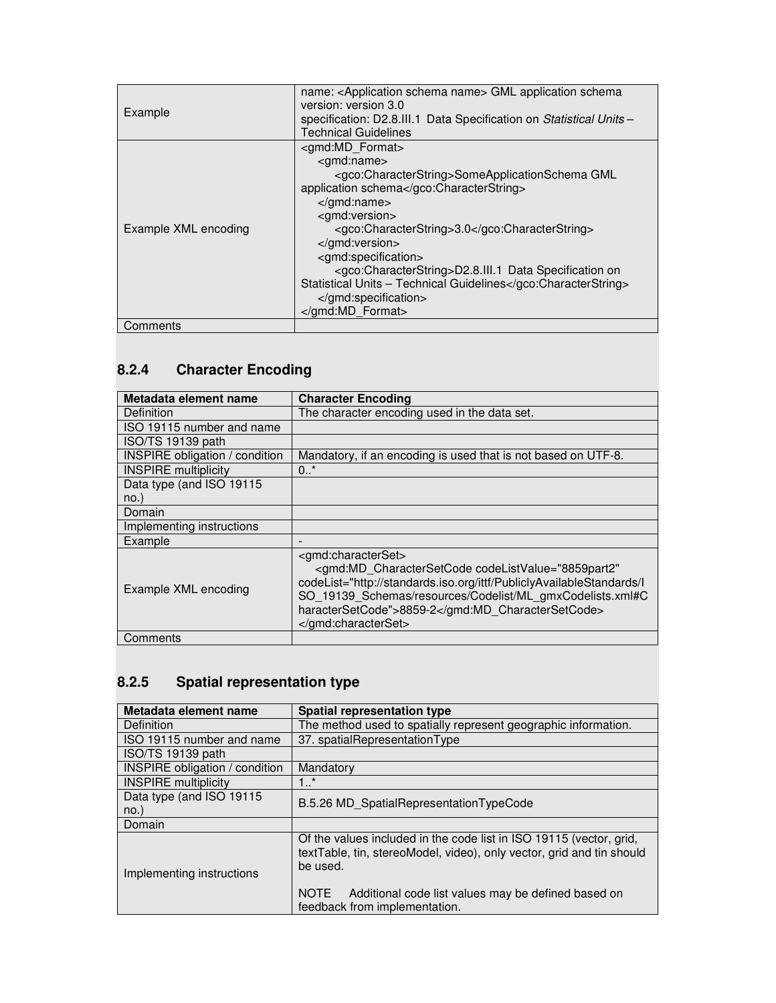| Example              | name: <application name="" schema=""> GML application schema<br/>version: version 3.0<br/>specification: D2.8.III.1 Data Specification on Statistical Units-<br/><b>Technical Guidelines</b></application>                                                                                                                                                                                                                                                                     |
|----------------------|--------------------------------------------------------------------------------------------------------------------------------------------------------------------------------------------------------------------------------------------------------------------------------------------------------------------------------------------------------------------------------------------------------------------------------------------------------------------------------|
| Example XML encoding | <gmd:md format=""><br/><gmd:name><br/><gco:characterstring>SomeApplicationSchema GML<br/>application schema</gco:characterstring><br/></gmd:name><br/><gmd:version><br/><gco:characterstring>3.0</gco:characterstring><br/></gmd:version><br/><gmd:specification><br/><gco:characterstring>D2.8.III.1 Data Specification on<br/>Statistical Units - Technical Guidelines</gco:characterstring><br/><math>\alpha</math>/qmd:specification&gt;<br/></gmd:specification></gmd:md> |
| Comments             |                                                                                                                                                                                                                                                                                                                                                                                                                                                                                |

# **8.2.4 Character Encoding**

| Metadata element name                 | <b>Character Encoding</b>                                                                                                                                                                                                                                                              |
|---------------------------------------|----------------------------------------------------------------------------------------------------------------------------------------------------------------------------------------------------------------------------------------------------------------------------------------|
| Definition                            | The character encoding used in the data set.                                                                                                                                                                                                                                           |
| ISO 19115 number and name             |                                                                                                                                                                                                                                                                                        |
| ISO/TS 19139 path                     |                                                                                                                                                                                                                                                                                        |
| <b>INSPIRE</b> obligation / condition | Mandatory, if an encoding is used that is not based on UTF-8.                                                                                                                                                                                                                          |
| <b>INSPIRE</b> multiplicity           | 0.7                                                                                                                                                                                                                                                                                    |
| Data type (and ISO 19115              |                                                                                                                                                                                                                                                                                        |
| $no.$ )                               |                                                                                                                                                                                                                                                                                        |
| Domain                                |                                                                                                                                                                                                                                                                                        |
| Implementing instructions             |                                                                                                                                                                                                                                                                                        |
| Example                               |                                                                                                                                                                                                                                                                                        |
| Example XML encoding                  | <gmd:characterset><br/><gmd:md <br="" charactersetcode="" codelistvalue="8859part2">codeList="http://standards.iso.org/ittf/PubliclyAvailableStandards/l<br/>SO 19139 Schemas/resources/Codelist/ML gmxCodelists.xml#C<br/>haracterSetCode"&gt;8859-2</gmd:md><br/></gmd:characterset> |
| Comments                              |                                                                                                                                                                                                                                                                                        |

## **8.2.5 Spatial representation type**

| Metadata element name                 | <b>Spatial representation type</b>                                                                                                                       |
|---------------------------------------|----------------------------------------------------------------------------------------------------------------------------------------------------------|
| Definition                            | The method used to spatially represent geographic information.                                                                                           |
| ISO 19115 number and name             | 37. spatialRepresentationType                                                                                                                            |
| ISO/TS 19139 path                     |                                                                                                                                                          |
| <b>INSPIRE obligation / condition</b> | Mandatory                                                                                                                                                |
| <b>INSPIRE</b> multiplicity           | 1.1                                                                                                                                                      |
| Data type (and ISO 19115              | B.5.26 MD_SpatialRepresentationTypeCode                                                                                                                  |
| $no.$ )                               |                                                                                                                                                          |
| Domain                                |                                                                                                                                                          |
| Implementing instructions             | Of the values included in the code list in ISO 19115 (vector, grid,<br>textTable, tin, stereoModel, video), only vector, grid and tin should<br>be used. |
|                                       | Additional code list values may be defined based on<br><b>NOTE</b><br>feedback from implementation.                                                      |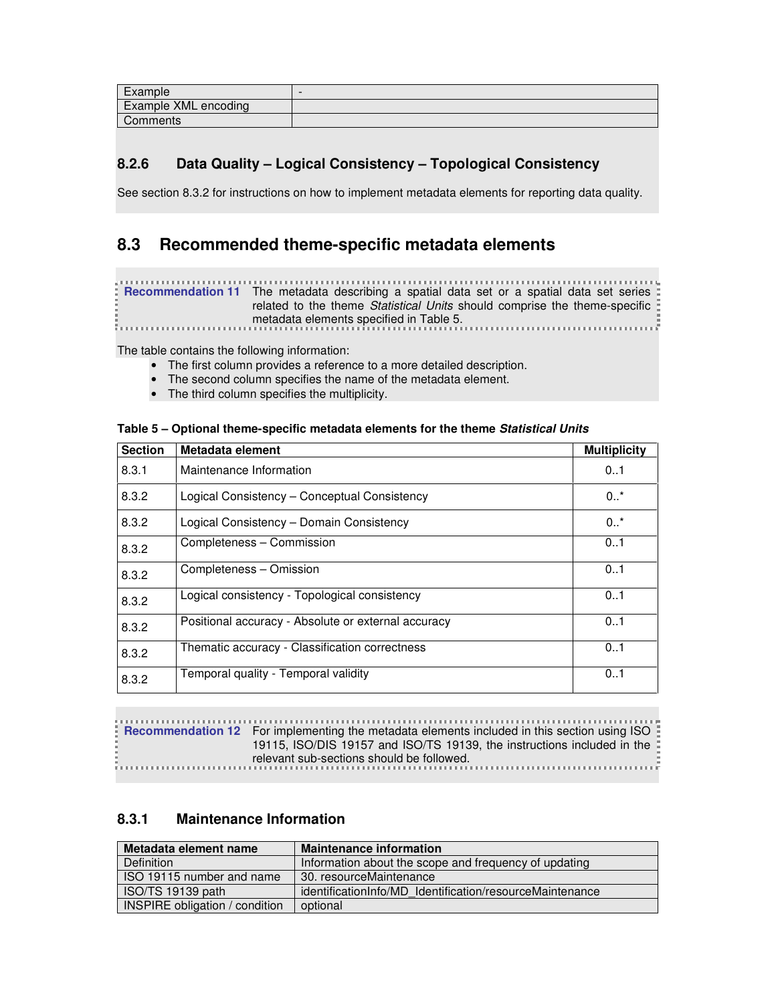| Example              |  |
|----------------------|--|
| Example XML encoding |  |
| Comments             |  |

## **8.2.6 Data Quality – Logical Consistency – Topological Consistency**

See section 8.3.2 for instructions on how to implement metadata elements for reporting data quality.

## **8.3 Recommended theme-specific metadata elements**

**Recommendation 11** The metadata describing a spatial data set or a spatial data set series related to the theme Statistical Units should comprise the theme-specific metadata elements specified in Table 5.

The table contains the following information:

- The first column provides a reference to a more detailed description.
- The second column specifies the name of the metadata element.
- The third column specifies the multiplicity.

| <b>Section</b> | Metadata element                                    | <b>Multiplicity</b> |
|----------------|-----------------------------------------------------|---------------------|
| 8.3.1          | Maintenance Information                             | 01                  |
| 8.3.2          | Logical Consistency - Conceptual Consistency        | $0.7*$              |
| 8.3.2          | Logical Consistency – Domain Consistency            | $0.7^*$             |
| 8.3.2          | Completeness - Commission                           | 01                  |
| 8.3.2          | Completeness - Omission                             | 01                  |
| 8.3.2          | Logical consistency - Topological consistency       | 01                  |
| 8.3.2          | Positional accuracy - Absolute or external accuracy | 01                  |
| 8.3.2          | Thematic accuracy - Classification correctness      | 0.1                 |
| 8.3.2          | Temporal quality - Temporal validity                | 0.1                 |

### **Table 5 – Optional theme-specific metadata elements for the theme Statistical Units**

**RECOMMENT IN A TENS INTERFERITE IN A TEN INTERFERITE IN A TELL THE METAL CONTRACT ISO THE PROPERTION OF THE RECOMMENT ISO THE RECOMMENDED TO THE RECOMMENDED TO THE RECOMMENDED THE RECOMMENDED TO THE RECOMMENDED TO THE REC** 19115, ISO/DIS 19157 and ISO/TS 19139, the instructions included in the relevant sub-sections should be followed.

### **8.3.1 Maintenance Information**

| Metadata element name                 | <b>Maintenance information</b>                           |
|---------------------------------------|----------------------------------------------------------|
| Definition                            | Information about the scope and frequency of updating    |
| ISO 19115 number and name             | 30. resourceMaintenance                                  |
| ISO/TS 19139 path                     | identificationInfo/MD Identification/resourceMaintenance |
| <b>INSPIRE obligation / condition</b> | optional                                                 |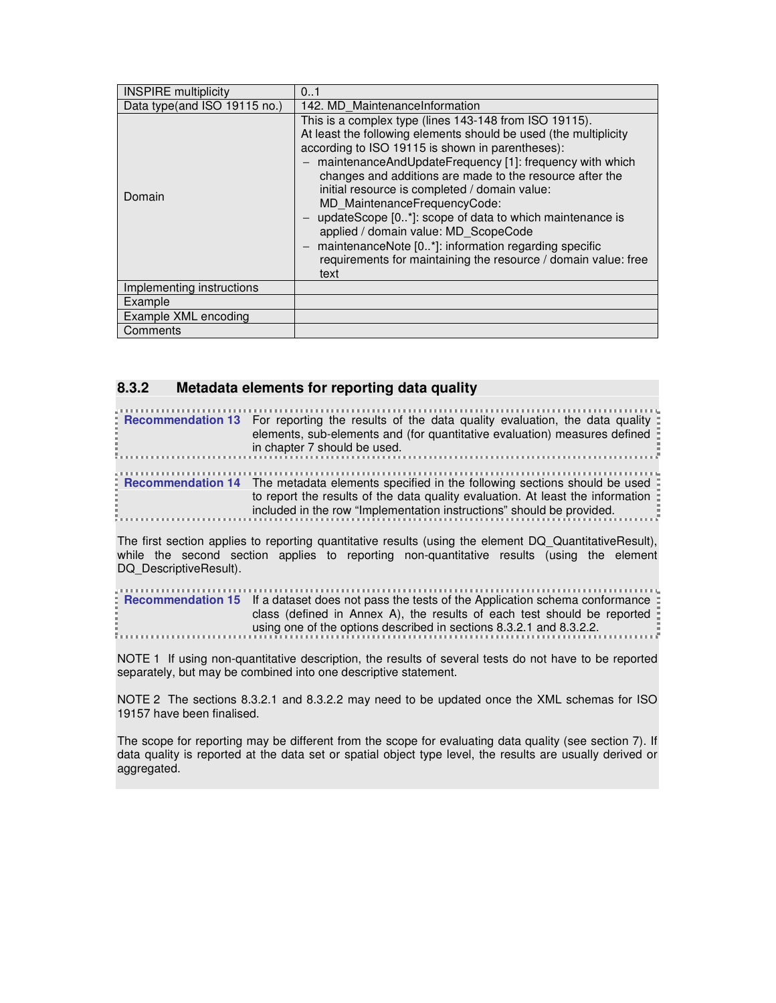| <b>INSPIRE</b> multiplicity  | 01                                                                                                                                                                                                                                                                                                                                                                                                                                                                                                                                                                                                                          |
|------------------------------|-----------------------------------------------------------------------------------------------------------------------------------------------------------------------------------------------------------------------------------------------------------------------------------------------------------------------------------------------------------------------------------------------------------------------------------------------------------------------------------------------------------------------------------------------------------------------------------------------------------------------------|
| Data type(and ISO 19115 no.) | 142. MD MaintenanceInformation                                                                                                                                                                                                                                                                                                                                                                                                                                                                                                                                                                                              |
| Domain                       | This is a complex type (lines 143-148 from ISO 19115).<br>At least the following elements should be used (the multiplicity<br>according to ISO 19115 is shown in parentheses):<br>maintenanceAndUpdateFrequency [1]: frequency with which<br>changes and additions are made to the resource after the<br>initial resource is completed / domain value:<br>MD MaintenanceFrequencyCode:<br>updateScope [0*]: scope of data to which maintenance is<br>applied / domain value: MD ScopeCode<br>maintenanceNote [0*]: information regarding specific<br>requirements for maintaining the resource / domain value: free<br>text |
| Implementing instructions    |                                                                                                                                                                                                                                                                                                                                                                                                                                                                                                                                                                                                                             |
| Example                      |                                                                                                                                                                                                                                                                                                                                                                                                                                                                                                                                                                                                                             |
| Example XML encoding         |                                                                                                                                                                                                                                                                                                                                                                                                                                                                                                                                                                                                                             |
| Comments                     |                                                                                                                                                                                                                                                                                                                                                                                                                                                                                                                                                                                                                             |

### **8.3.2 Metadata elements for reporting data quality**

| Recommendation 13 For reporting the results of the data quality evaluation, the data quality :<br>elements, sub-elements and (for quantitative evaluation) measures defined<br>in chapter 7 should be used.                                               |
|-----------------------------------------------------------------------------------------------------------------------------------------------------------------------------------------------------------------------------------------------------------|
| . Recommendation 14 The metadata elements specified in the following sections should be used :<br>to report the results of the data quality evaluation. At least the information<br>included in the row "Implementation instructions" should be provided. |

The first section applies to reporting quantitative results (using the element DQ\_QuantitativeResult), while the second section applies to reporting non-quantitative results (using the element DQ\_DescriptiveResult).

| <b>EXECOMMEDIAM EXECUTE:</b> If a dataset does not pass the tests of the Application schema conformance: |
|----------------------------------------------------------------------------------------------------------|
| class (defined in Annex A), the results of each test should be reported $\frac{1}{2}$                    |
| $\frac{1}{2}$ using one of the options described in sections 8.3.2.1 and 8.3.2.2.                        |
|                                                                                                          |

NOTE 1 If using non-quantitative description, the results of several tests do not have to be reported separately, but may be combined into one descriptive statement.

NOTE 2 The sections 8.3.2.1 and 8.3.2.2 may need to be updated once the XML schemas for ISO 19157 have been finalised.

The scope for reporting may be different from the scope for evaluating data quality (see section 7). If data quality is reported at the data set or spatial object type level, the results are usually derived or aggregated.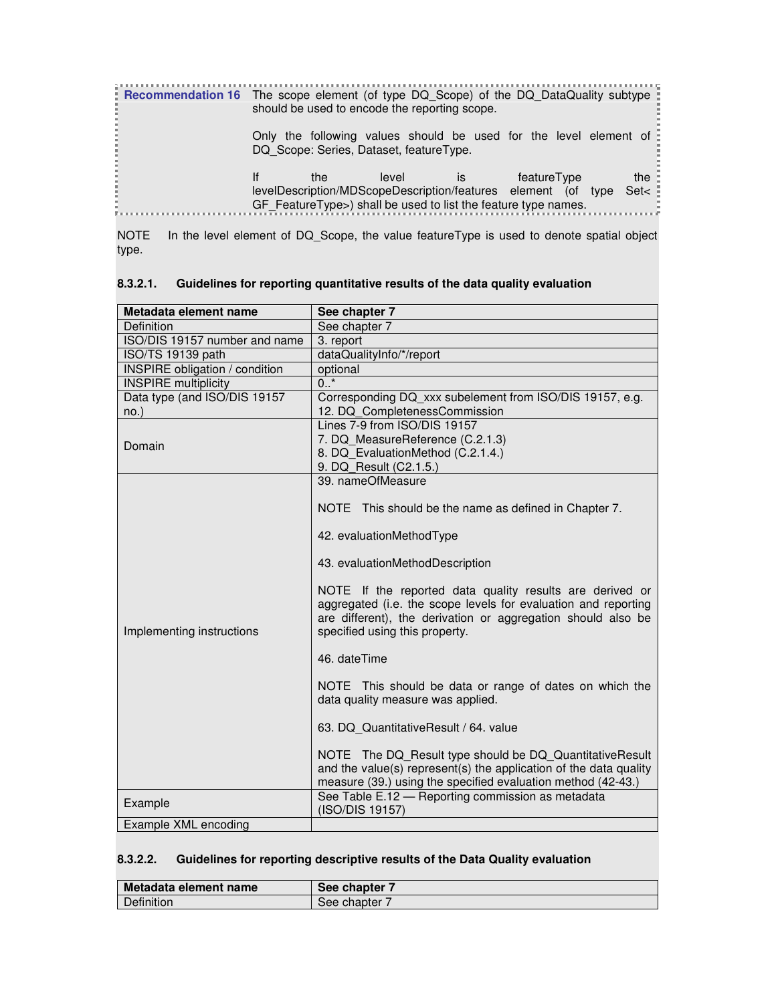| <b>Recommendation 16</b> The scope element (of type DQ_Scope) of the DQ_DataQuality subtype |     | should be used to encode the reporting scope.                                                                                            |    |             |                      |
|---------------------------------------------------------------------------------------------|-----|------------------------------------------------------------------------------------------------------------------------------------------|----|-------------|----------------------|
|                                                                                             |     | Only the following values should be used for the level element of<br>DQ Scope: Series, Dataset, featureType.                             |    |             |                      |
|                                                                                             | the | level<br>levelDescription/MDScopeDescription/features element (of type<br>GF_FeatureType>) shall be used to list the feature type names. | İS | featureType | the $\pm$<br>Set $<$ |

NOTE In the level element of DQ\_Scope, the value featureType is used to denote spatial object type.

| Metadata element name                 | See chapter 7                                                                                                                                                                                                                |
|---------------------------------------|------------------------------------------------------------------------------------------------------------------------------------------------------------------------------------------------------------------------------|
| Definition                            | See chapter 7                                                                                                                                                                                                                |
| ISO/DIS 19157 number and name         | 3. report                                                                                                                                                                                                                    |
| ISO/TS 19139 path                     | dataQualityInfo/*/report                                                                                                                                                                                                     |
| <b>INSPIRE</b> obligation / condition | optional                                                                                                                                                                                                                     |
| <b>INSPIRE</b> multiplicity           | $0.$ *                                                                                                                                                                                                                       |
| Data type (and ISO/DIS 19157          | Corresponding DQ_xxx subelement from ISO/DIS 19157, e.g.                                                                                                                                                                     |
| $no.$ )                               | 12. DQ CompletenessCommission                                                                                                                                                                                                |
|                                       | Lines 7-9 from ISO/DIS 19157                                                                                                                                                                                                 |
| Domain                                | 7. DQ MeasureReference (C.2.1.3)                                                                                                                                                                                             |
|                                       | 8. DQ EvaluationMethod (C.2.1.4.)                                                                                                                                                                                            |
|                                       | 9. DQ Result (C2.1.5.)                                                                                                                                                                                                       |
|                                       | 39. nameOfMeasure                                                                                                                                                                                                            |
|                                       | NOTE This should be the name as defined in Chapter 7.                                                                                                                                                                        |
|                                       | 42. evaluationMethodType                                                                                                                                                                                                     |
|                                       | 43. evaluationMethodDescription                                                                                                                                                                                              |
| Implementing instructions             | NOTE If the reported data quality results are derived or<br>aggregated (i.e. the scope levels for evaluation and reporting<br>are different), the derivation or aggregation should also be<br>specified using this property. |
|                                       | 46. dateTime                                                                                                                                                                                                                 |
|                                       | NOTE This should be data or range of dates on which the<br>data quality measure was applied.                                                                                                                                 |
|                                       | 63. DQ QuantitativeResult / 64. value                                                                                                                                                                                        |
|                                       | NOTE The DQ_Result type should be DQ_QuantitativeResult<br>and the value(s) represent(s) the application of the data quality<br>measure (39.) using the specified evaluation method (42-43.)                                 |
| Example                               | See Table E.12 - Reporting commission as metadata<br>(ISO/DIS 19157)                                                                                                                                                         |
| Example XML encoding                  |                                                                                                                                                                                                                              |

### **8.3.2.1. Guidelines for reporting quantitative results of the data quality evaluation**

### **8.3.2.2. Guidelines for reporting descriptive results of the Data Quality evaluation**

| Metadata element name | See chapter |
|-----------------------|-------------|
| Definition            | See chapter |